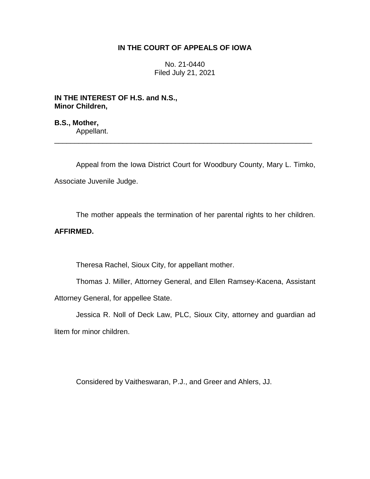## **IN THE COURT OF APPEALS OF IOWA**

No. 21-0440 Filed July 21, 2021

**IN THE INTEREST OF H.S. and N.S., Minor Children,**

**B.S., Mother,** Appellant.

Appeal from the Iowa District Court for Woodbury County, Mary L. Timko, Associate Juvenile Judge.

\_\_\_\_\_\_\_\_\_\_\_\_\_\_\_\_\_\_\_\_\_\_\_\_\_\_\_\_\_\_\_\_\_\_\_\_\_\_\_\_\_\_\_\_\_\_\_\_\_\_\_\_\_\_\_\_\_\_\_\_\_\_\_\_

The mother appeals the termination of her parental rights to her children.

## **AFFIRMED.**

Theresa Rachel, Sioux City, for appellant mother.

Thomas J. Miller, Attorney General, and Ellen Ramsey-Kacena, Assistant Attorney General, for appellee State.

Jessica R. Noll of Deck Law, PLC, Sioux City, attorney and guardian ad litem for minor children.

Considered by Vaitheswaran, P.J., and Greer and Ahlers, JJ.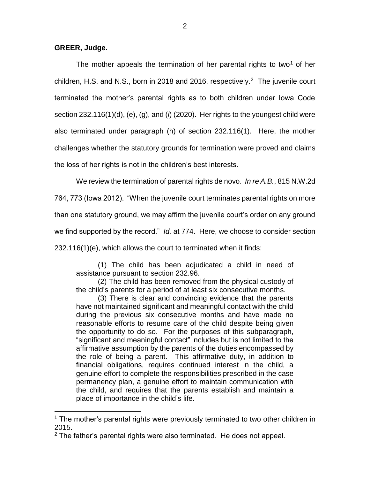$\overline{a}$ 

The mother appeals the termination of her parental rights to two<sup>1</sup> of her children, H.S. and N.S., born in 2018 and 2016, respectively. 2 The juvenile court terminated the mother's parental rights as to both children under Iowa Code section 232.116(1)(d), (e), (g), and (*l*) (2020). Her rights to the youngest child were also terminated under paragraph (h) of section 232.116(1). Here, the mother challenges whether the statutory grounds for termination were proved and claims the loss of her rights is not in the children's best interests.

We review the termination of parental rights de novo. *In re A.B.*, 815 N.W.2d

764, 773 (Iowa 2012). "When the juvenile court terminates parental rights on more

than one statutory ground, we may affirm the juvenile court's order on any ground

we find supported by the record." *Id.* at 774. Here, we choose to consider section

232.116(1)(e), which allows the court to terminated when it finds:

(1) The child has been adjudicated a child in need of assistance pursuant to section 232.96.

(2) The child has been removed from the physical custody of the child's parents for a period of at least six consecutive months.

(3) There is clear and convincing evidence that the parents have not maintained significant and meaningful contact with the child during the previous six consecutive months and have made no reasonable efforts to resume care of the child despite being given the opportunity to do so. For the purposes of this subparagraph, "significant and meaningful contact" includes but is not limited to the affirmative assumption by the parents of the duties encompassed by the role of being a parent. This affirmative duty, in addition to financial obligations, requires continued interest in the child, a genuine effort to complete the responsibilities prescribed in the case permanency plan, a genuine effort to maintain communication with the child, and requires that the parents establish and maintain a place of importance in the child's life.

 $1$  The mother's parental rights were previously terminated to two other children in 2015.

 $2$  The father's parental rights were also terminated. He does not appeal.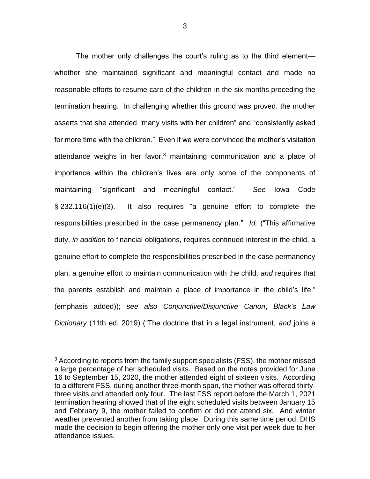The mother only challenges the court's ruling as to the third element whether she maintained significant and meaningful contact and made no reasonable efforts to resume care of the children in the six months preceding the termination hearing. In challenging whether this ground was proved, the mother asserts that she attended "many visits with her children" and "consistently asked for more time with the children." Even if we were convinced the mother's visitation attendance weighs in her favor, <sup>3</sup> maintaining communication and a place of importance within the children's lives are only some of the components of maintaining "significant and meaningful contact." *See* Iowa Code § 232.116(1)(e)(3). It also requires "a genuine effort to complete the responsibilities prescribed in the case permanency plan." *Id.* ("This affirmative duty, *in addition* to financial obligations, requires continued interest in the child, a genuine effort to complete the responsibilities prescribed in the case permanency plan, a genuine effort to maintain communication with the child, *and* requires that the parents establish and maintain a place of importance in the child's life." (emphasis added)); *see also Conjunctive/Disjunctive Canon*, *Black's Law Dictionary* (11th ed. 2019) ("The doctrine that in a legal instrument, *and* joins a

 $\overline{a}$ 

<sup>&</sup>lt;sup>3</sup> According to reports from the family support specialists (FSS), the mother missed a large percentage of her scheduled visits. Based on the notes provided for June 16 to September 15, 2020, the mother attended eight of sixteen visits. According to a different FSS, during another three-month span, the mother was offered thirtythree visits and attended only four. The last FSS report before the March 1, 2021 termination hearing showed that of the eight scheduled visits between January 15 and February 9, the mother failed to confirm or did not attend six. And winter weather prevented another from taking place. During this same time period, DHS made the decision to begin offering the mother only one visit per week due to her attendance issues.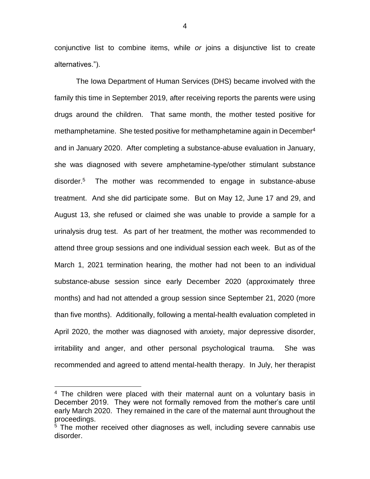conjunctive list to combine items, while *or* joins a disjunctive list to create alternatives.").

The Iowa Department of Human Services (DHS) became involved with the family this time in September 2019, after receiving reports the parents were using drugs around the children. That same month, the mother tested positive for methamphetamine. She tested positive for methamphetamine again in December<sup>4</sup> and in January 2020. After completing a substance-abuse evaluation in January, she was diagnosed with severe amphetamine-type/other stimulant substance disorder.<sup>5</sup> The mother was recommended to engage in substance-abuse treatment. And she did participate some. But on May 12, June 17 and 29, and August 13, she refused or claimed she was unable to provide a sample for a urinalysis drug test. As part of her treatment, the mother was recommended to attend three group sessions and one individual session each week. But as of the March 1, 2021 termination hearing, the mother had not been to an individual substance-abuse session since early December 2020 (approximately three months) and had not attended a group session since September 21, 2020 (more than five months). Additionally, following a mental-health evaluation completed in April 2020, the mother was diagnosed with anxiety, major depressive disorder, irritability and anger, and other personal psychological trauma. She was recommended and agreed to attend mental-health therapy. In July, her therapist

 $\overline{a}$ 

<sup>&</sup>lt;sup>4</sup> The children were placed with their maternal aunt on a voluntary basis in December 2019. They were not formally removed from the mother's care until early March 2020. They remained in the care of the maternal aunt throughout the proceedings.

<sup>&</sup>lt;sup>5</sup> The mother received other diagnoses as well, including severe cannabis use disorder.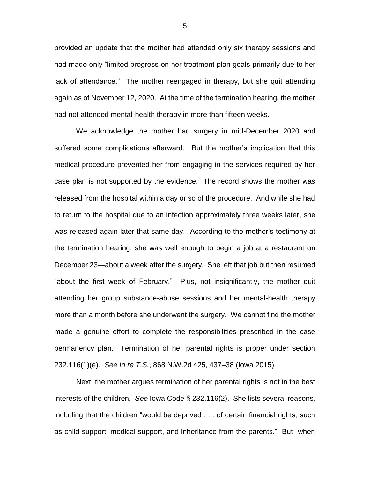provided an update that the mother had attended only six therapy sessions and had made only "limited progress on her treatment plan goals primarily due to her lack of attendance." The mother reengaged in therapy, but she quit attending again as of November 12, 2020. At the time of the termination hearing, the mother had not attended mental-health therapy in more than fifteen weeks.

We acknowledge the mother had surgery in mid-December 2020 and suffered some complications afterward. But the mother's implication that this medical procedure prevented her from engaging in the services required by her case plan is not supported by the evidence. The record shows the mother was released from the hospital within a day or so of the procedure. And while she had to return to the hospital due to an infection approximately three weeks later, she was released again later that same day. According to the mother's testimony at the termination hearing, she was well enough to begin a job at a restaurant on December 23—about a week after the surgery. She left that job but then resumed "about the first week of February." Plus, not insignificantly, the mother quit attending her group substance-abuse sessions and her mental-health therapy more than a month before she underwent the surgery. We cannot find the mother made a genuine effort to complete the responsibilities prescribed in the case permanency plan. Termination of her parental rights is proper under section 232.116(1)(e). *See In re T.S.*, 868 N.W.2d 425, 437–38 (Iowa 2015).

Next, the mother argues termination of her parental rights is not in the best interests of the children. *See* Iowa Code § 232.116(2). She lists several reasons, including that the children "would be deprived . . . of certain financial rights, such as child support, medical support, and inheritance from the parents." But "when

5